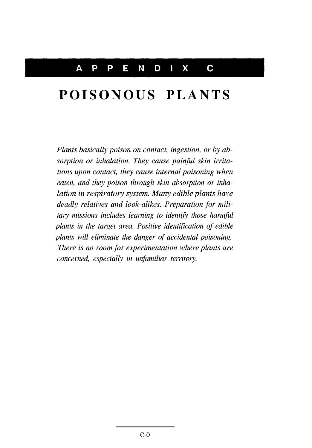# **POISONOUS PLANTS**

*Plants basically poison on contact, ingestion, or by absorption or inhalation. They cause painful skin irritations upon contact, they cause internal poisoning when eaten, and they poison through skin absorption or inhalation in respiratory system. Many edible plants have deadly relatives and look-alikes. Preparation for military missions includes learning to identify those harmful plants in the target area. Positive identification of edible plants will eliminate the danger of accidental poisoning. There is no room for experimentation where plants are concerned, especially in unfamiliar* territory.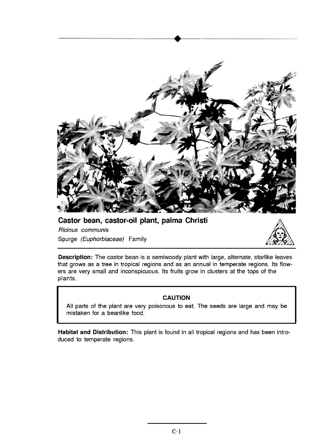

### Castor bean, castor-oil plant, palma Christi

Spurge *(Euphorbiaceae Ricinus communis*



Description: The castor bean is a semiwoody plant with large, alternate, starlike leaves that grows as a tree in tropical regions and as an annual in temperate regions. Its flowers are very small and inconspicuous. Its fruits grow in clusters at the tops of the plants.

#### CAUTION

All parts of the plant are very poisonous to eat. The seeds are large and may be mistaken for a beanlike food.

Habitat and Distribution: This plant is found in all tropical regions and has been introduced to temperate regions.